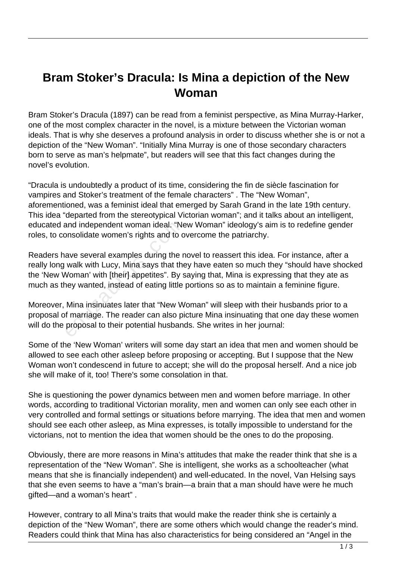## **Bram Stoker's Dracula: Is Mina a depiction of the New Woman**

Bram Stoker's Dracula (1897) can be read from a feminist perspective, as Mina Murray-Harker, one of the most complex character in the novel, is a mixture between the Victorian woman ideals. That is why she deserves a profound analysis in order to discuss whether she is or not a depiction of the "New Woman". "Initially Mina Murray is one of those secondary characters born to serve as man's helpmate", but readers will see that this fact changes during the novel's evolution.

"Dracula is undoubtedly a product of its time, considering the fin de siècle fascination for vampires and Stoker's treatment of the female characters" . The "New Woman", aforementioned, was a feminist ideal that emerged by Sarah Grand in the late 19th century. This idea "departed from the stereotypical Victorian woman"; and it talks about an intelligent, educated and independent woman ideal. "New Woman" ideology's aim is to redefine gender roles, to consolidate women's rights and to overcome the patriarchy.

Readers have several examples during the novel to reassert this idea. For instance, after a really long walk with Lucy, Mina says that they have eaten so much they "should have shocked the 'New Woman' with [their] appetites". By saying that, Mina is expressing that they ate as much as they wanted, instead of eating little portions so as to maintain a feminine figure. and independent woman ideal. "Nonsolidate women's rights and to compositions are several examples during the r walk with Lucy, Mina says that the Voman' with [their] appetites". By sey wanted, instead of eating little Mina

Moreover, Mina insinuates later that "New Woman" will sleep with their husbands prior to a proposal of marriage. The reader can also picture Mina insinuating that one day these women will do the proposal to their potential husbands. She writes in her journal:

Some of the 'New Woman' writers will some day start an idea that men and women should be allowed to see each other asleep before proposing or accepting. But I suppose that the New Woman won't condescend in future to accept; she will do the proposal herself. And a nice job she will make of it, too! There's some consolation in that.

She is questioning the power dynamics between men and women before marriage. In other words, according to traditional Victorian morality, men and women can only see each other in very controlled and formal settings or situations before marrying. The idea that men and women should see each other asleep, as Mina expresses, is totally impossible to understand for the victorians, not to mention the idea that women should be the ones to do the proposing.

Obviously, there are more reasons in Mina's attitudes that make the reader think that she is a representation of the "New Woman". She is intelligent, she works as a schoolteacher (what means that she is financially independent) and well-educated. In the novel, Van Helsing says that she even seems to have a "man's brain—a brain that a man should have were he much gifted—and a woman's heart" .

However, contrary to all Mina's traits that would make the reader think she is certainly a depiction of the "New Woman", there are some others which would change the reader's mind. Readers could think that Mina has also characteristics for being considered an "Angel in the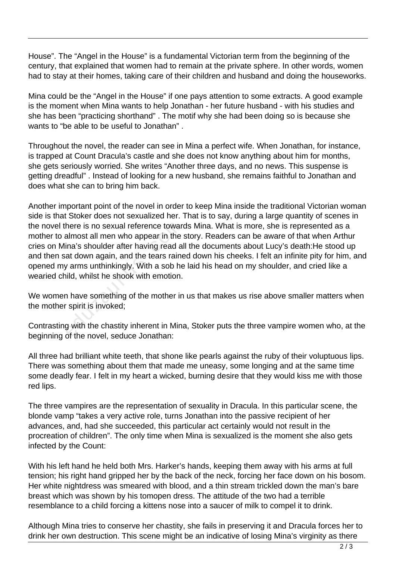House". The "Angel in the House" is a fundamental Victorian term from the beginning of the century, that explained that women had to remain at the private sphere. In other words, women had to stay at their homes, taking care of their children and husband and doing the houseworks.

Mina could be the "Angel in the House" if one pays attention to some extracts. A good example is the moment when Mina wants to help Jonathan - her future husband - with his studies and she has been "practicing shorthand" . The motif why she had been doing so is because she wants to "be able to be useful to Jonathan" .

Throughout the novel, the reader can see in Mina a perfect wife. When Jonathan, for instance, is trapped at Count Dracula's castle and she does not know anything about him for months, she gets seriously worried. She writes "Another three days, and no news. This suspense is getting dreadful" . Instead of looking for a new husband, she remains faithful to Jonathan and does what she can to bring him back.

Another important point of the novel in order to keep Mina inside the traditional Victorian woman side is that Stoker does not sexualized her. That is to say, during a large quantity of scenes in the novel there is no sexual reference towards Mina. What is more, she is represented as a mother to almost all men who appear in the story. Readers can be aware of that when Arthur cries on Mina's shoulder after having read all the documents about Lucy's death:He stood up and then sat down again, and the tears rained down his cheeks. I felt an infinite pity for him, and opened my arms unthinkingly. With a sob he laid his head on my shoulder, and cried like a wearied child, whilst he shook with emotion. here is no sexual reference toward<br>almost all men who appear in the<br>ina's shoulder after having read al<br>at down again, and the tears raine<br>y arms unthinkingly. With a sob he<br>iild, whilst he shook with emotion.<br>n have somet

We women have something of the mother in us that makes us rise above smaller matters when the mother spirit is invoked;

Contrasting with the chastity inherent in Mina, Stoker puts the three vampire women who, at the beginning of the novel, seduce Jonathan:

All three had brilliant white teeth, that shone like pearls against the ruby of their voluptuous lips. There was something about them that made me uneasy, some longing and at the same time some deadly fear. I felt in my heart a wicked, burning desire that they would kiss me with those red lips.

The three vampires are the representation of sexuality in Dracula. In this particular scene, the blonde vamp "takes a very active role, turns Jonathan into the passive recipient of her advances, and, had she succeeded, this particular act certainly would not result in the procreation of children". The only time when Mina is sexualized is the moment she also gets infected by the Count:

With his left hand he held both Mrs. Harker's hands, keeping them away with his arms at full tension; his right hand gripped her by the back of the neck, forcing her face down on his bosom. Her white nightdress was smeared with blood, and a thin stream trickled down the man's bare breast which was shown by his tomopen dress. The attitude of the two had a terrible resemblance to a child forcing a kittens nose into a saucer of milk to compel it to drink.

Although Mina tries to conserve her chastity, she fails in preserving it and Dracula forces her to drink her own destruction. This scene might be an indicative of losing Mina's virginity as there